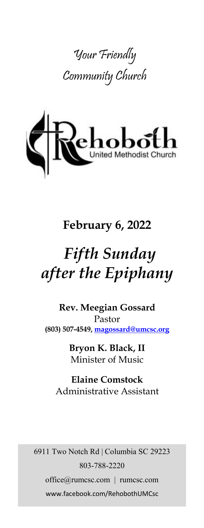



# **February 6, 2022**

# *Fifth Sunday after the Epiphany*

**Rev. Meegian Gossard** Pastor **(803) 507-4549, magossard@umcsc.org**

> **Bryon K. Black, II** Minister of Music

**Elaine Comstock** Administrative Assistant

6911 Two Notch Rd | Columbia SC 29223 803-788-2220 office@rumcsc.com | rumcsc.com www.facebook.com/RehobothUMCsc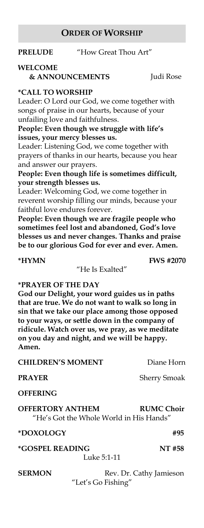#### **ORDER OF WORSHIP**

**PRELUDE** "How Great Thou Art"

# **WELCOME**

 **& ANNOUNCEMENTS** Judi Rose

#### **\*CALL TO WORSHIP**

Leader: O Lord our God, we come together with songs of praise in our hearts, because of your unfailing love and faithfulness.

**People: Even though we struggle with life's issues, your mercy blesses us.**

Leader: Listening God, we come together with prayers of thanks in our hearts, because you hear and answer our prayers.

**People: Even though life is sometimes difficult, your strength blesses us.**

Leader: Welcoming God, we come together in reverent worship filling our minds, because your faithful love endures forever.

**People: Even though we are fragile people who sometimes feel lost and abandoned, God's love blesses us and never changes. Thanks and praise be to our glorious God for ever and ever. Amen.**

#### **\*HYMN FWS #2070**

"He Is Exalted"

#### **\*PRAYER OF THE DAY**

**God our Delight, your word guides us in paths that are true. We do not want to walk so long in sin that we take our place among those opposed to your ways, or settle down in the company of ridicule. Watch over us, we pray, as we meditate on you day and night, and we will be happy. Amen.**

#### **CHILDREN'S MOMENT** Diane Horn

**PRAYER** Sherry Smoak

**OFFERING**

**OFFERTORY ANTHEM RUMC Choir**  "He's Got the Whole World in His Hands"

#### **\*DOXOLOGY #95**

**\*GOSPEL READING NT #58**

Luke 5:1-11

**SERMON** Rev. Dr. Cathy Jamieson "Let's Go Fishing"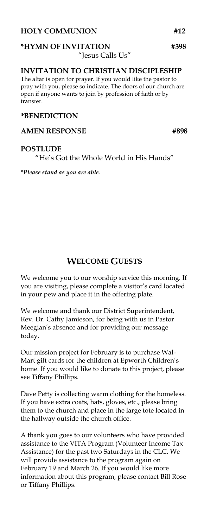#### **HOLY COMMUNION #12**

#### **\*HYMN OF INVITATION #398**  "Jesus Calls Us"

#### **INVITATION TO CHRISTIAN DISCIPLESHIP**

The altar is open for prayer. If you would like the pastor to pray with you, please so indicate. The doors of our church are open if anyone wants to join by profession of faith or by transfer.

#### **\*BENEDICTION**

#### **AMEN RESPONSE #898**

#### **POSTLUDE**

"He's Got the Whole World in His Hands"

*\*Please stand as you are able.*

### **WELCOME GUESTS**

We welcome you to our worship service this morning. If you are visiting, please complete a visitor's card located in your pew and place it in the offering plate.

We welcome and thank our District Superintendent, Rev. Dr. Cathy Jamieson, for being with us in Pastor Meegian's absence and for providing our message today.

Our mission project for February is to purchase Wal-Mart gift cards for the children at Epworth Children's home. If you would like to donate to this project, please see Tiffany Phillips.

Dave Petty is collecting warm clothing for the homeless. If you have extra coats, hats, gloves, etc., please bring them to the church and place in the large tote located in the hallway outside the church office.

A thank you goes to our volunteers who have provided assistance to the VITA Program (Volunteer Income Tax Assistance) for the past two Saturdays in the CLC. We will provide assistance to the program again on February 19 and March 26. If you would like more information about this program, please contact Bill Rose or Tiffany Phillips.